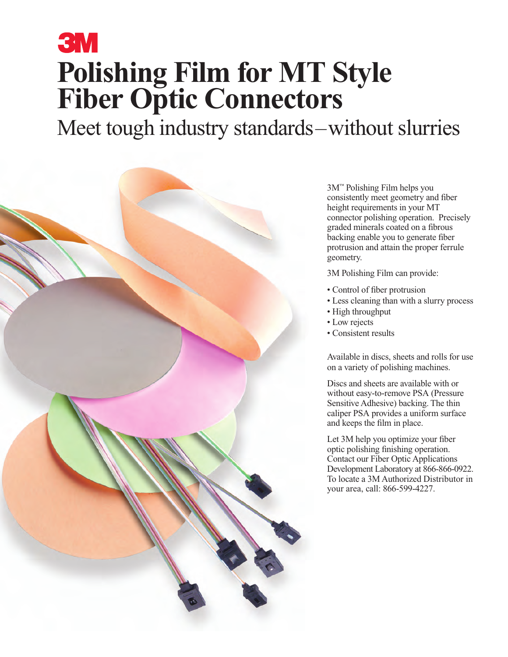# **3M Polishing Film for MT Style Fiber Optic Connectors**

Meet tough industry standards–without slurries



3M™ Polishing Film helps you consistently meet geometry and fiber height requirements in your MT connector polishing operation. Precisely graded minerals coated on a fibrous backing enable you to generate fiber protrusion and attain the proper ferrule geometry.

3M Polishing Film can provide:

- Control of fiber protrusion
- Less cleaning than with a slurry process
- High throughput
- Low rejects
- Consistent results

Available in discs, sheets and rolls for use on a variety of polishing machines.

Discs and sheets are available with or without easy-to-remove PSA (Pressure Sensitive Adhesive) backing. The thin caliper PSA provides a uniform surface and keeps the film in place.

Let 3M help you optimize your fiber optic polishing finishing operation. Contact our Fiber Optic Applications Development Laboratory at 866-866-0922. To locate a 3M Authorized Distributor in your area, call: 866-599-4227.